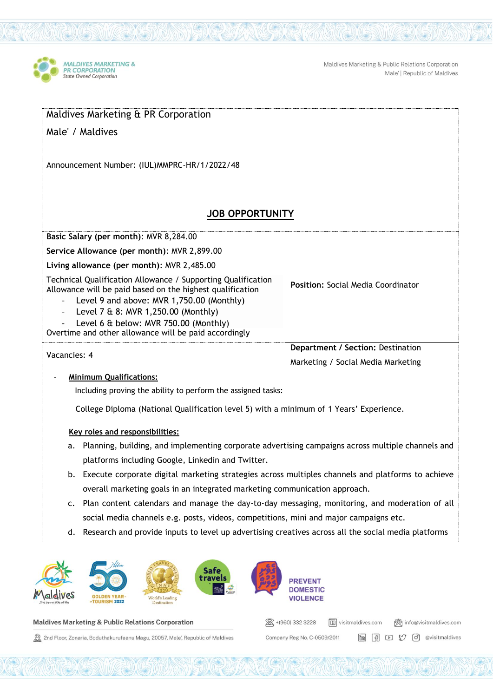

Maldives Marketing & Public Relations Corporation Male' | Republic of Maldives

| Maldives Marketing & PR Corporation                                                                                                                                                                                                                                                                                                         |                                           |  |  |  |  |  |  |
|---------------------------------------------------------------------------------------------------------------------------------------------------------------------------------------------------------------------------------------------------------------------------------------------------------------------------------------------|-------------------------------------------|--|--|--|--|--|--|
| Male' / Maldives                                                                                                                                                                                                                                                                                                                            |                                           |  |  |  |  |  |  |
|                                                                                                                                                                                                                                                                                                                                             |                                           |  |  |  |  |  |  |
| Announcement Number: (IUL) MMPRC-HR/1/2022/48                                                                                                                                                                                                                                                                                               |                                           |  |  |  |  |  |  |
|                                                                                                                                                                                                                                                                                                                                             |                                           |  |  |  |  |  |  |
|                                                                                                                                                                                                                                                                                                                                             |                                           |  |  |  |  |  |  |
| <b>JOB OPPORTUNITY</b>                                                                                                                                                                                                                                                                                                                      |                                           |  |  |  |  |  |  |
| Basic Salary (per month): MVR 8,284.00                                                                                                                                                                                                                                                                                                      |                                           |  |  |  |  |  |  |
| Service Allowance (per month): MVR 2,899.00                                                                                                                                                                                                                                                                                                 |                                           |  |  |  |  |  |  |
| Living allowance (per month): MVR 2,485.00                                                                                                                                                                                                                                                                                                  |                                           |  |  |  |  |  |  |
| Technical Qualification Allowance / Supporting Qualification<br>Allowance will be paid based on the highest qualification<br>Level 9 and above: MVR 1,750.00 (Monthly)<br>Level 7 & 8: MVR 1,250.00 (Monthly)<br>$\overline{\phantom{0}}$<br>Level 6 & below: MVR 750.00 (Monthly)<br>Overtime and other allowance will be paid accordingly | <b>Position: Social Media Coordinator</b> |  |  |  |  |  |  |
|                                                                                                                                                                                                                                                                                                                                             | Department / Section: Destination         |  |  |  |  |  |  |
| Vacancies: 4                                                                                                                                                                                                                                                                                                                                | Marketing / Social Media Marketing        |  |  |  |  |  |  |
| <b>Minimum Qualifications:</b>                                                                                                                                                                                                                                                                                                              |                                           |  |  |  |  |  |  |

Including proving the ability to perform the assigned tasks:

College Diploma (National Qualification level 5) with a minimum of 1 Years' Experience.

## **Key roles and responsibilities:**

- a. Planning, building, and implementing corporate advertising campaigns across multiple channels and platforms including Google, Linkedin and Twitter.
- b. Execute corporate digital marketing strategies across multiples channels and platforms to achieve overall marketing goals in an integrated marketing communication approach.
- c. Plan content calendars and manage the day-to-day messaging, monitoring, and moderation of all social media channels e.g. posts, videos, competitions, mini and major campaigns etc.

图 +(960) 332 3228

Company Reg No. C-0509/2011

visitmaldives.com

(ovisitmaldives.com

**in 9**  $\circ$   $\circ$  *O*  $\circ$  @visitmaldives

d. Research and provide inputs to level up advertising creatives across all the social media platforms



## **Maldives Marketing & Public Relations Corporation**

2nd Floor, Zonaria, Boduthakurufaanu Magu, 20057, Male', Republic of Maldives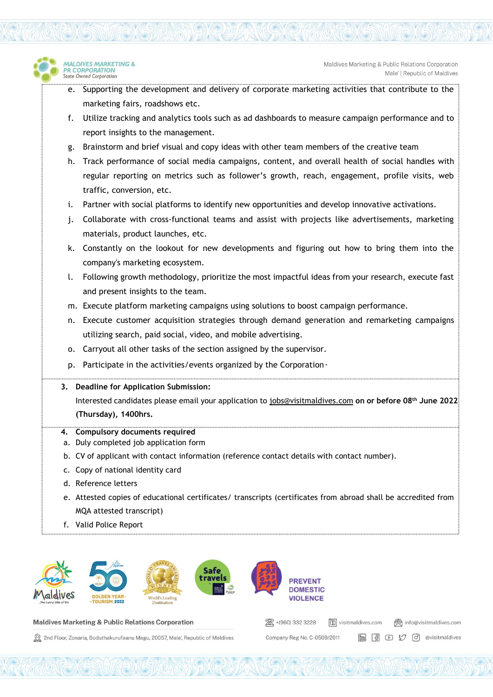- e. Supporting the development and delivery of corporate marketing activities that contribute to the marketing fairs, roadshows etc.
- f. Utilize tracking and analytics tools such as ad dashboards to measure campaign performance and to report insights to the management.
- g. Brainstorm and brief visual and copy ideas with other team members of the creative team
- h. Track performance of social media campaigns, content, and overall health of social handles with regular reporting on metrics such as follower's growth, reach, engagement, profile visits, web traffic, conversion, etc.
- i. Partner with social platforms to identify new opportunities and develop innovative activations.
- j. Collaborate with cross-functional teams and assist with projects like advertisements, marketing materials, product launches, etc.
- k. Constantly on the lookout for new developments and figuring out how to bring them into the company's marketing ecosystem.
- l. Following growth methodology, prioritize the most impactful ideas from your research, execute fast and present insights to the team.
- m. Execute platform marketing campaigns using solutions to boost campaign performance.
- n. Execute customer acquisition strategies through demand generation and remarketing campaigns utilizing search, paid social, video, and mobile advertising.
- o. Carryout all other tasks of the section assigned by the supervisor.
- p. Participate in the activities/events organized by the Corporation *.*

## **3. Deadline for Application Submission:**

Interested candidates please email your application to [jobs@visitmaldives.com](mailto:jobs@visitmaldives.com) **on or before 08th June 2022 (Thursday), 1400hrs.**

- **4. Compulsory documents required**
- a. Duly completed job application form
- b. CV of applicant with contact information (reference contact details with contact number).
- c. Copy of national identity card
- d. Reference letters

**MALDIVES MARKETING &** 

R CORPORATION

State Owned Corporation

- e. Attested copies of educational certificates/ transcripts (certificates from abroad shall be accredited from MQA attested transcript)
- f. Valid Police Report



```
Maldives Marketing & Public Relations Corporation
```
2nd Floor, Zonaria, Boduthakurufaanu Magu, 20057, Male', Republic of Maldives

| 28 +(960) 332 3228          | visitmaldives.com |  |  | @ info@visitmaldives.com    |
|-----------------------------|-------------------|--|--|-----------------------------|
| Company Reg No. C-0509/2011 |                   |  |  | im 6 0 5 (d) @visitmaldives |